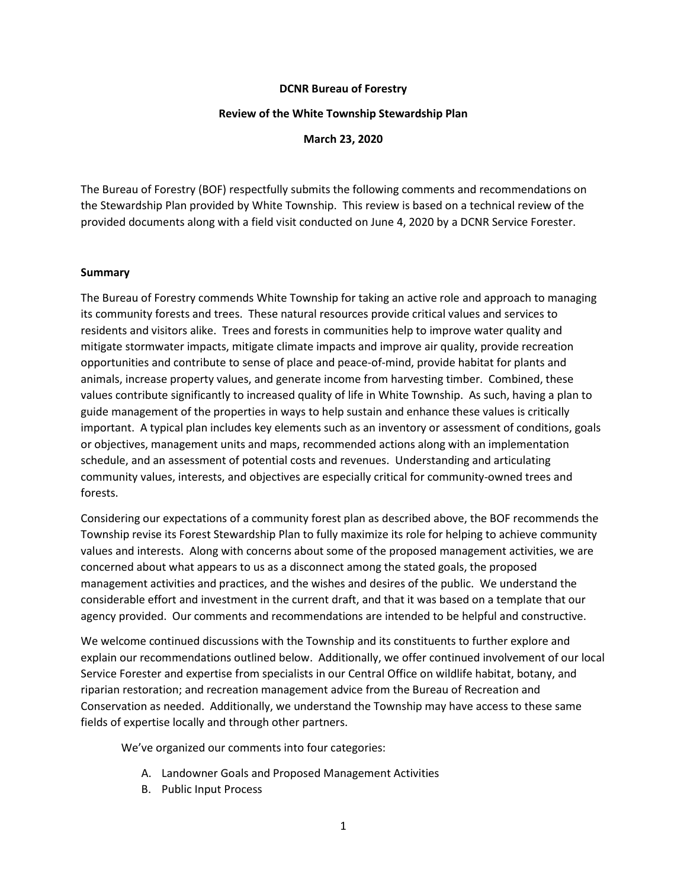### **DCNR Bureau of Forestry**

#### **Review of the White Township Stewardship Plan**

**March 23, 2020**

The Bureau of Forestry (BOF) respectfully submits the following comments and recommendations on the Stewardship Plan provided by White Township. This review is based on a technical review of the provided documents along with a field visit conducted on June 4, 2020 by a DCNR Service Forester.

### **Summary**

The Bureau of Forestry commends White Township for taking an active role and approach to managing its community forests and trees. These natural resources provide critical values and services to residents and visitors alike. Trees and forests in communities help to improve water quality and mitigate stormwater impacts, mitigate climate impacts and improve air quality, provide recreation opportunities and contribute to sense of place and peace-of-mind, provide habitat for plants and animals, increase property values, and generate income from harvesting timber. Combined, these values contribute significantly to increased quality of life in White Township. As such, having a plan to guide management of the properties in ways to help sustain and enhance these values is critically important. A typical plan includes key elements such as an inventory or assessment of conditions, goals or objectives, management units and maps, recommended actions along with an implementation schedule, and an assessment of potential costs and revenues. Understanding and articulating community values, interests, and objectives are especially critical for community-owned trees and forests.

Considering our expectations of a community forest plan as described above, the BOF recommends the Township revise its Forest Stewardship Plan to fully maximize its role for helping to achieve community values and interests. Along with concerns about some of the proposed management activities, we are concerned about what appears to us as a disconnect among the stated goals, the proposed management activities and practices, and the wishes and desires of the public. We understand the considerable effort and investment in the current draft, and that it was based on a template that our agency provided. Our comments and recommendations are intended to be helpful and constructive.

We welcome continued discussions with the Township and its constituents to further explore and explain our recommendations outlined below. Additionally, we offer continued involvement of our local Service Forester and expertise from specialists in our Central Office on wildlife habitat, botany, and riparian restoration; and recreation management advice from the Bureau of Recreation and Conservation as needed. Additionally, we understand the Township may have access to these same fields of expertise locally and through other partners.

We've organized our comments into four categories:

- A. Landowner Goals and Proposed Management Activities
- B. Public Input Process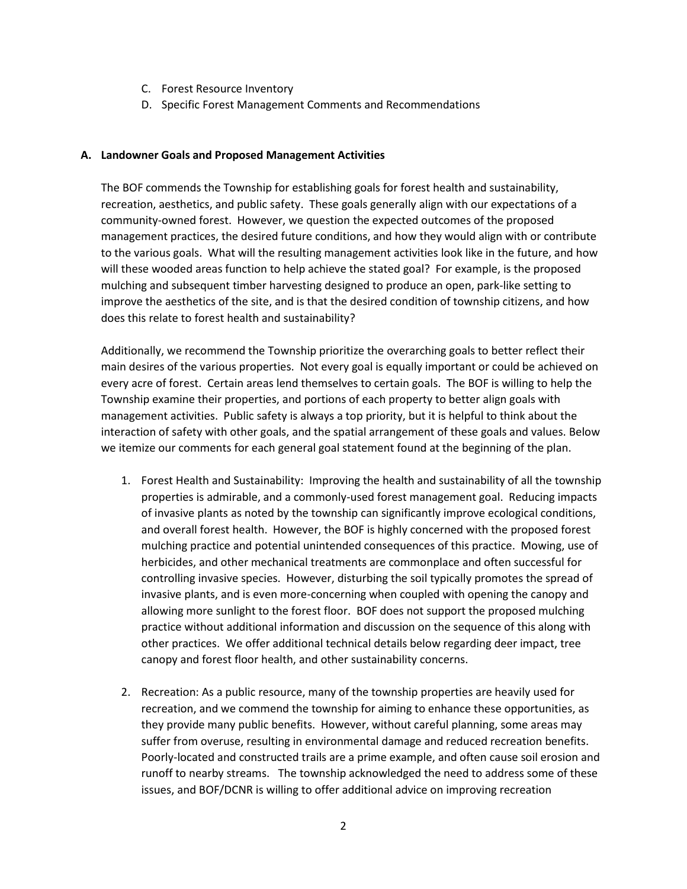- C. Forest Resource Inventory
- D. Specific Forest Management Comments and Recommendations

### **A. Landowner Goals and Proposed Management Activities**

The BOF commends the Township for establishing goals for forest health and sustainability, recreation, aesthetics, and public safety. These goals generally align with our expectations of a community-owned forest. However, we question the expected outcomes of the proposed management practices, the desired future conditions, and how they would align with or contribute to the various goals. What will the resulting management activities look like in the future, and how will these wooded areas function to help achieve the stated goal? For example, is the proposed mulching and subsequent timber harvesting designed to produce an open, park-like setting to improve the aesthetics of the site, and is that the desired condition of township citizens, and how does this relate to forest health and sustainability?

Additionally, we recommend the Township prioritize the overarching goals to better reflect their main desires of the various properties. Not every goal is equally important or could be achieved on every acre of forest. Certain areas lend themselves to certain goals. The BOF is willing to help the Township examine their properties, and portions of each property to better align goals with management activities. Public safety is always a top priority, but it is helpful to think about the interaction of safety with other goals, and the spatial arrangement of these goals and values. Below we itemize our comments for each general goal statement found at the beginning of the plan.

- 1. Forest Health and Sustainability: Improving the health and sustainability of all the township properties is admirable, and a commonly-used forest management goal. Reducing impacts of invasive plants as noted by the township can significantly improve ecological conditions, and overall forest health. However, the BOF is highly concerned with the proposed forest mulching practice and potential unintended consequences of this practice. Mowing, use of herbicides, and other mechanical treatments are commonplace and often successful for controlling invasive species. However, disturbing the soil typically promotes the spread of invasive plants, and is even more-concerning when coupled with opening the canopy and allowing more sunlight to the forest floor. BOF does not support the proposed mulching practice without additional information and discussion on the sequence of this along with other practices. We offer additional technical details below regarding deer impact, tree canopy and forest floor health, and other sustainability concerns.
- 2. Recreation: As a public resource, many of the township properties are heavily used for recreation, and we commend the township for aiming to enhance these opportunities, as they provide many public benefits. However, without careful planning, some areas may suffer from overuse, resulting in environmental damage and reduced recreation benefits. Poorly-located and constructed trails are a prime example, and often cause soil erosion and runoff to nearby streams. The township acknowledged the need to address some of these issues, and BOF/DCNR is willing to offer additional advice on improving recreation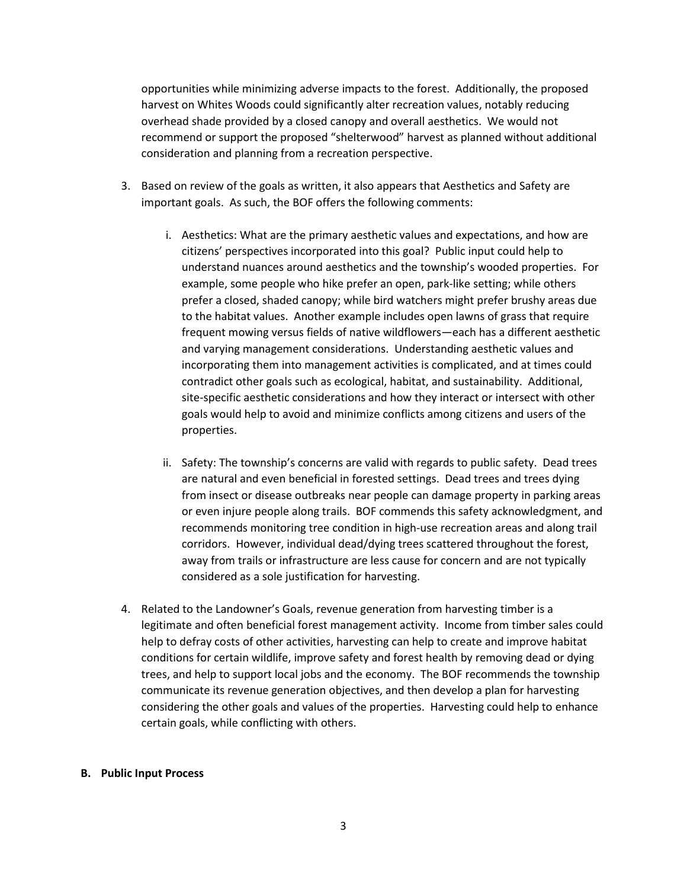opportunities while minimizing adverse impacts to the forest. Additionally, the proposed harvest on Whites Woods could significantly alter recreation values, notably reducing overhead shade provided by a closed canopy and overall aesthetics. We would not recommend or support the proposed "shelterwood" harvest as planned without additional consideration and planning from a recreation perspective.

- 3. Based on review of the goals as written, it also appears that Aesthetics and Safety are important goals. As such, the BOF offers the following comments:
	- i. Aesthetics: What are the primary aesthetic values and expectations, and how are citizens' perspectives incorporated into this goal? Public input could help to understand nuances around aesthetics and the township's wooded properties. For example, some people who hike prefer an open, park-like setting; while others prefer a closed, shaded canopy; while bird watchers might prefer brushy areas due to the habitat values. Another example includes open lawns of grass that require frequent mowing versus fields of native wildflowers—each has a different aesthetic and varying management considerations. Understanding aesthetic values and incorporating them into management activities is complicated, and at times could contradict other goals such as ecological, habitat, and sustainability. Additional, site-specific aesthetic considerations and how they interact or intersect with other goals would help to avoid and minimize conflicts among citizens and users of the properties.
	- ii. Safety: The township's concerns are valid with regards to public safety. Dead trees are natural and even beneficial in forested settings. Dead trees and trees dying from insect or disease outbreaks near people can damage property in parking areas or even injure people along trails. BOF commends this safety acknowledgment, and recommends monitoring tree condition in high-use recreation areas and along trail corridors. However, individual dead/dying trees scattered throughout the forest, away from trails or infrastructure are less cause for concern and are not typically considered as a sole justification for harvesting.
- 4. Related to the Landowner's Goals, revenue generation from harvesting timber is a legitimate and often beneficial forest management activity. Income from timber sales could help to defray costs of other activities, harvesting can help to create and improve habitat conditions for certain wildlife, improve safety and forest health by removing dead or dying trees, and help to support local jobs and the economy. The BOF recommends the township communicate its revenue generation objectives, and then develop a plan for harvesting considering the other goals and values of the properties. Harvesting could help to enhance certain goals, while conflicting with others.

#### **B. Public Input Process**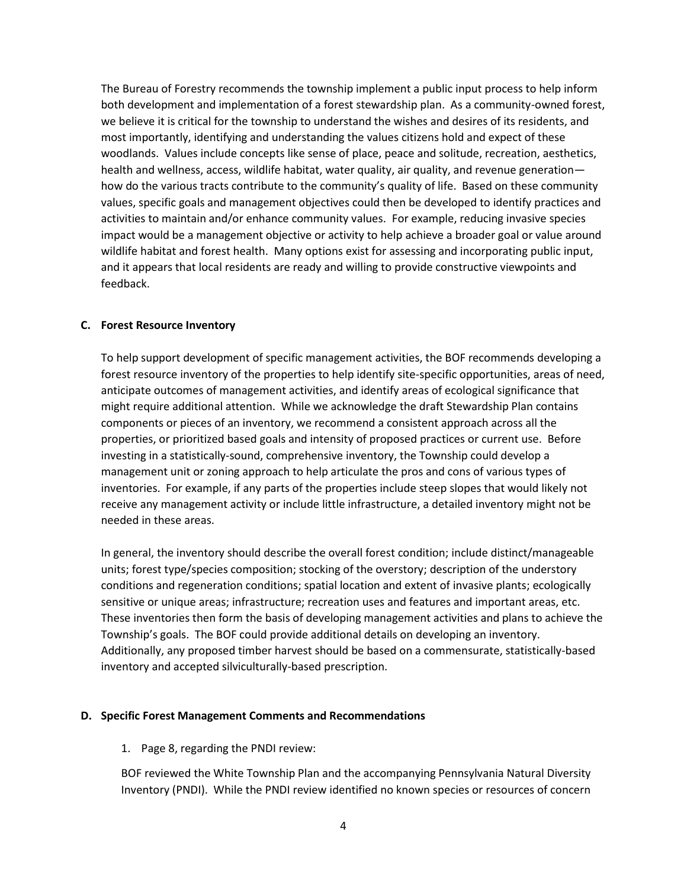The Bureau of Forestry recommends the township implement a public input process to help inform both development and implementation of a forest stewardship plan. As a community-owned forest, we believe it is critical for the township to understand the wishes and desires of its residents, and most importantly, identifying and understanding the values citizens hold and expect of these woodlands. Values include concepts like sense of place, peace and solitude, recreation, aesthetics, health and wellness, access, wildlife habitat, water quality, air quality, and revenue generation how do the various tracts contribute to the community's quality of life. Based on these community values, specific goals and management objectives could then be developed to identify practices and activities to maintain and/or enhance community values. For example, reducing invasive species impact would be a management objective or activity to help achieve a broader goal or value around wildlife habitat and forest health. Many options exist for assessing and incorporating public input, and it appears that local residents are ready and willing to provide constructive viewpoints and feedback.

# **C. Forest Resource Inventory**

To help support development of specific management activities, the BOF recommends developing a forest resource inventory of the properties to help identify site-specific opportunities, areas of need, anticipate outcomes of management activities, and identify areas of ecological significance that might require additional attention. While we acknowledge the draft Stewardship Plan contains components or pieces of an inventory, we recommend a consistent approach across all the properties, or prioritized based goals and intensity of proposed practices or current use. Before investing in a statistically-sound, comprehensive inventory, the Township could develop a management unit or zoning approach to help articulate the pros and cons of various types of inventories. For example, if any parts of the properties include steep slopes that would likely not receive any management activity or include little infrastructure, a detailed inventory might not be needed in these areas.

In general, the inventory should describe the overall forest condition; include distinct/manageable units; forest type/species composition; stocking of the overstory; description of the understory conditions and regeneration conditions; spatial location and extent of invasive plants; ecologically sensitive or unique areas; infrastructure; recreation uses and features and important areas, etc. These inventories then form the basis of developing management activities and plans to achieve the Township's goals. The BOF could provide additional details on developing an inventory. Additionally, any proposed timber harvest should be based on a commensurate, statistically-based inventory and accepted silviculturally-based prescription.

# **D. Specific Forest Management Comments and Recommendations**

# 1. Page 8, regarding the PNDI review:

BOF reviewed the White Township Plan and the accompanying Pennsylvania Natural Diversity Inventory (PNDI). While the PNDI review identified no known species or resources of concern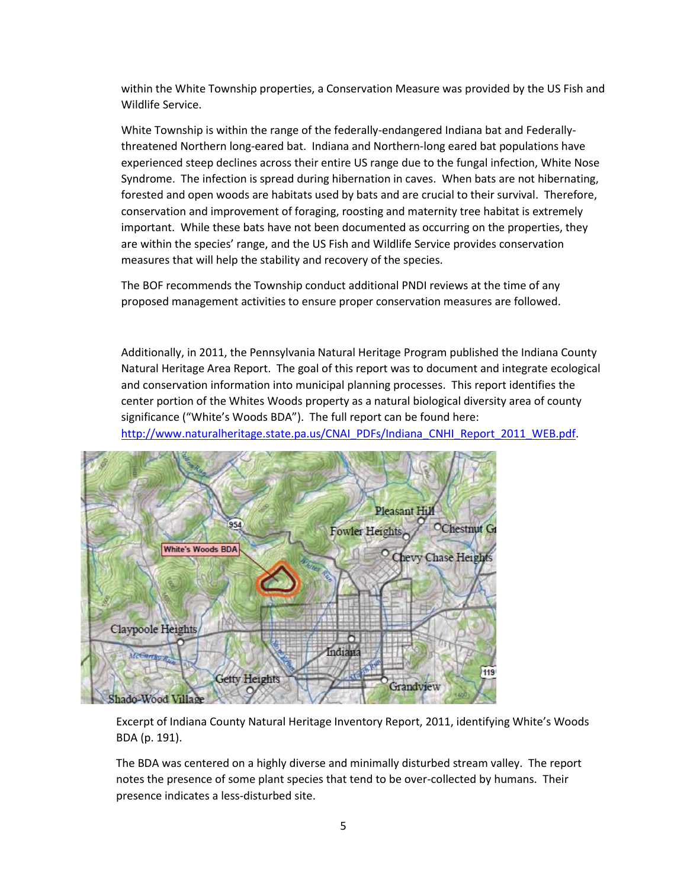within the White Township properties, a Conservation Measure was provided by the US Fish and Wildlife Service.

White Township is within the range of the federally-endangered Indiana bat and Federallythreatened Northern long-eared bat. Indiana and Northern-long eared bat populations have experienced steep declines across their entire US range due to the fungal infection, White Nose Syndrome. The infection is spread during hibernation in caves. When bats are not hibernating, forested and open woods are habitats used by bats and are crucial to their survival. Therefore, conservation and improvement of foraging, roosting and maternity tree habitat is extremely important. While these bats have not been documented as occurring on the properties, they are within the species' range, and the US Fish and Wildlife Service provides conservation measures that will help the stability and recovery of the species.

The BOF recommends the Township conduct additional PNDI reviews at the time of any proposed management activities to ensure proper conservation measures are followed.

Additionally, in 2011, the Pennsylvania Natural Heritage Program published the Indiana County Natural Heritage Area Report. The goal of this report was to document and integrate ecological and conservation information into municipal planning processes. This report identifies the center portion of the Whites Woods property as a natural biological diversity area of county significance ("White's Woods BDA"). The full report can be found here:

[http://www.naturalheritage.state.pa.us/CNAI\\_PDFs/Indiana\\_CNHI\\_Report\\_2011\\_WEB.pdf.](http://www.naturalheritage.state.pa.us/CNAI_PDFs/Indiana_CNHI_Report_2011_WEB.pdf)



Excerpt of Indiana County Natural Heritage Inventory Report, 2011, identifying White's Woods BDA (p. 191).

The BDA was centered on a highly diverse and minimally disturbed stream valley. The report notes the presence of some plant species that tend to be over-collected by humans. Their presence indicates a less-disturbed site.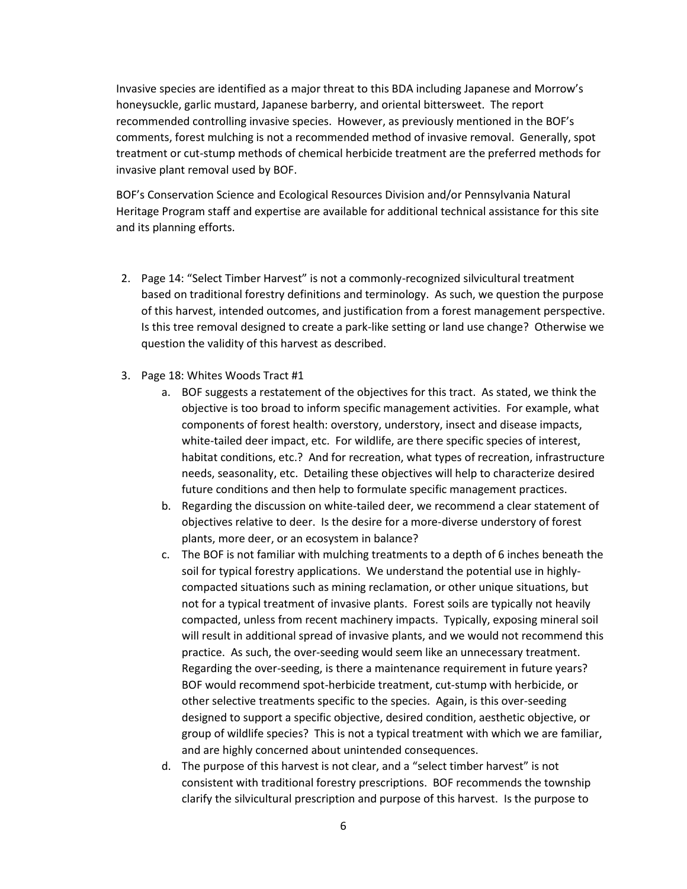Invasive species are identified as a major threat to this BDA including Japanese and Morrow's honeysuckle, garlic mustard, Japanese barberry, and oriental bittersweet. The report recommended controlling invasive species. However, as previously mentioned in the BOF's comments, forest mulching is not a recommended method of invasive removal. Generally, spot treatment or cut-stump methods of chemical herbicide treatment are the preferred methods for invasive plant removal used by BOF.

BOF's Conservation Science and Ecological Resources Division and/or Pennsylvania Natural Heritage Program staff and expertise are available for additional technical assistance for this site and its planning efforts.

- 2. Page 14: "Select Timber Harvest" is not a commonly-recognized silvicultural treatment based on traditional forestry definitions and terminology. As such, we question the purpose of this harvest, intended outcomes, and justification from a forest management perspective. Is this tree removal designed to create a park-like setting or land use change? Otherwise we question the validity of this harvest as described.
- 3. Page 18: Whites Woods Tract #1
	- a. BOF suggests a restatement of the objectives for this tract. As stated, we think the objective is too broad to inform specific management activities. For example, what components of forest health: overstory, understory, insect and disease impacts, white-tailed deer impact, etc. For wildlife, are there specific species of interest, habitat conditions, etc.? And for recreation, what types of recreation, infrastructure needs, seasonality, etc. Detailing these objectives will help to characterize desired future conditions and then help to formulate specific management practices.
	- b. Regarding the discussion on white-tailed deer, we recommend a clear statement of objectives relative to deer. Is the desire for a more-diverse understory of forest plants, more deer, or an ecosystem in balance?
	- c. The BOF is not familiar with mulching treatments to a depth of 6 inches beneath the soil for typical forestry applications. We understand the potential use in highlycompacted situations such as mining reclamation, or other unique situations, but not for a typical treatment of invasive plants. Forest soils are typically not heavily compacted, unless from recent machinery impacts. Typically, exposing mineral soil will result in additional spread of invasive plants, and we would not recommend this practice. As such, the over-seeding would seem like an unnecessary treatment. Regarding the over-seeding, is there a maintenance requirement in future years? BOF would recommend spot-herbicide treatment, cut-stump with herbicide, or other selective treatments specific to the species. Again, is this over-seeding designed to support a specific objective, desired condition, aesthetic objective, or group of wildlife species? This is not a typical treatment with which we are familiar, and are highly concerned about unintended consequences.
	- d. The purpose of this harvest is not clear, and a "select timber harvest" is not consistent with traditional forestry prescriptions. BOF recommends the township clarify the silvicultural prescription and purpose of this harvest. Is the purpose to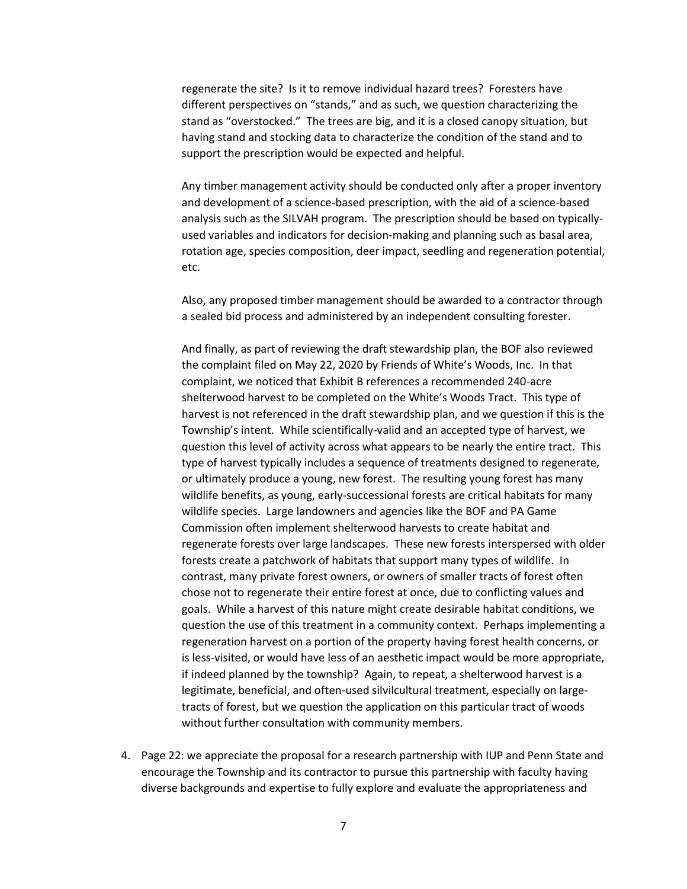regenerate the site? Is it to remove individual hazard trees? Foresters have different perspectives on "stands," and as such, we question characterizing the stand as "overstocked." The trees are big, and it is a closed canopy situation, but having stand and stocking data to characterize the condition of the stand and to support the prescription would be expected and helpful.

Any timber management activity should be conducted only after a proper inventory and development of a science-based prescription, with the aid of a science-based analysis such as the SILVAH program. The prescription should be based on typicallyused variables and indicators for decision-making and planning such as basal area, rotation age, species composition, deer impact, seedling and regeneration potential, etc.

Also, any proposed timber management should be awarded to a contractor through a sealed bid process and administered by an independent consulting forester.

And finally, as part of reviewing the draft stewardship plan, the BOF also reviewed the complaint filed on May 22, 2020 by Friends of White's Woods, Inc. In that complaint, we noticed that Exhibit B references a recommended 240-acre shelterwood harvest to be completed on the White's Woods Tract. This type of harvest is not referenced in the draft stewardship plan, and we question if this is the Township's intent. While scientifically-valid and an accepted type of harvest, we question this level of activity across what appears to be nearly the entire tract. This type of harvest typically includes a sequence of treatments designed to regenerate, or ultimately produce a young, new forest. The resulting young forest has many wildlife benefits, as young, early-successional forests are critical habitats for many wildlife species. Large landowners and agencies like the BOF and PA Game Commission often implement shelterwood harvests to create habitat and regenerate forests over large landscapes. These new forests interspersed with older forests create a patchwork of habitats that support many types of wildlife. In contrast, many private forest owners, or owners of smaller tracts of forest often chose not to regenerate their entire forest at once, due to conflicting values and goals. While a harvest of this nature might create desirable habitat conditions, we question the use of this treatment in a community context. Perhaps implementing a regeneration harvest on a portion of the property having forest health concerns, or is less-visited, or would have less of an aesthetic impact would be more appropriate, if indeed planned by the township? Again, to repeat, a shelterwood harvest is a legitimate, beneficial, and often-used silvilcultural treatment, especially on largetracts of forest, but we question the application on this particular tract of woods without further consultation with community members.

4. Page 22: we appreciate the proposal for a research partnership with IUP and Penn State and encourage the Township and its contractor to pursue this partnership with faculty having diverse backgrounds and expertise to fully explore and evaluate the appropriateness and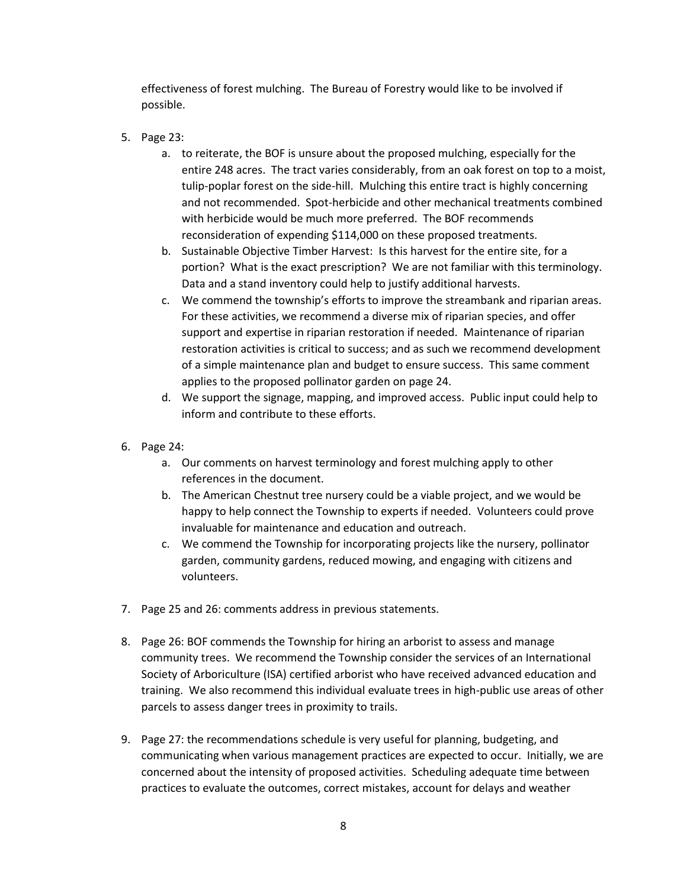effectiveness of forest mulching. The Bureau of Forestry would like to be involved if possible.

- 5. Page 23:
	- a. to reiterate, the BOF is unsure about the proposed mulching, especially for the entire 248 acres. The tract varies considerably, from an oak forest on top to a moist, tulip-poplar forest on the side-hill. Mulching this entire tract is highly concerning and not recommended. Spot-herbicide and other mechanical treatments combined with herbicide would be much more preferred. The BOF recommends reconsideration of expending \$114,000 on these proposed treatments.
	- b. Sustainable Objective Timber Harvest: Is this harvest for the entire site, for a portion? What is the exact prescription? We are not familiar with this terminology. Data and a stand inventory could help to justify additional harvests.
	- c. We commend the township's efforts to improve the streambank and riparian areas. For these activities, we recommend a diverse mix of riparian species, and offer support and expertise in riparian restoration if needed. Maintenance of riparian restoration activities is critical to success; and as such we recommend development of a simple maintenance plan and budget to ensure success. This same comment applies to the proposed pollinator garden on page 24.
	- d. We support the signage, mapping, and improved access. Public input could help to inform and contribute to these efforts.
- 6. Page 24:
	- a. Our comments on harvest terminology and forest mulching apply to other references in the document.
	- b. The American Chestnut tree nursery could be a viable project, and we would be happy to help connect the Township to experts if needed. Volunteers could prove invaluable for maintenance and education and outreach.
	- c. We commend the Township for incorporating projects like the nursery, pollinator garden, community gardens, reduced mowing, and engaging with citizens and volunteers.
- 7. Page 25 and 26: comments address in previous statements.
- 8. Page 26: BOF commends the Township for hiring an arborist to assess and manage community trees. We recommend the Township consider the services of an International Society of Arboriculture (ISA) certified arborist who have received advanced education and training. We also recommend this individual evaluate trees in high-public use areas of other parcels to assess danger trees in proximity to trails.
- 9. Page 27: the recommendations schedule is very useful for planning, budgeting, and communicating when various management practices are expected to occur. Initially, we are concerned about the intensity of proposed activities. Scheduling adequate time between practices to evaluate the outcomes, correct mistakes, account for delays and weather